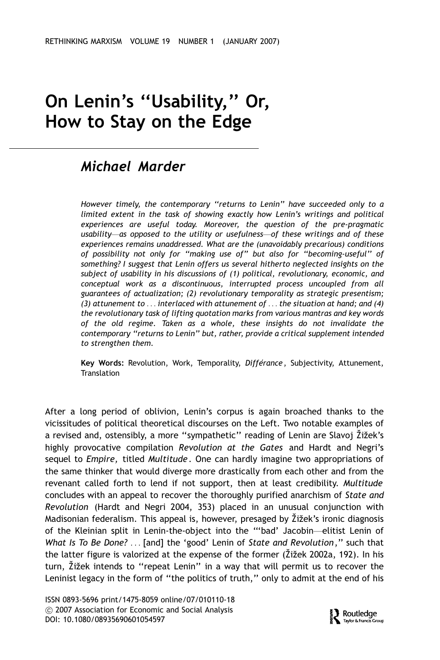# On Lenin's "Usability," Or, How to Stay on the Edge

# Michael Marder

However timely, the contemporary ''returns to Lenin'' have succeeded only to a limited extent in the task of showing exactly how Lenin's writings and political experiences are useful today. Moreover, the question of the pre-pragmatic usability—as opposed to the utility or usefulness—of these writings and of these experiences remains unaddressed. What are the (unavoidably precarious) conditions of possibility not only for ''making use of'' but also for ''becoming-useful'' of something? I suggest that Lenin offers us several hitherto neglected insights on the subject of usability in his discussions of (1) political, revolutionary, economic, and conceptual work as a discontinuous, interrupted process uncoupled from all guarantees of actualization; (2) revolutionary temporality as strategic presentism; (3) attunement to  $\dots$  interlaced with attunement of  $\dots$  the situation at hand; and (4) the revolutionary task of lifting quotation marks from various mantras and key words of the old regime. Taken as a whole, these insights do not invalidate the contemporary ''returns to Lenin'' but, rather, provide a critical supplement intended to strengthen them.

Key Words: Revolution, Work, Temporality, Différance, Subjectivity, Attunement, **Translation** 

After a long period of oblivion, Lenin's corpus is again broached thanks to the vicissitudes of political theoretical discourses on the Left. Two notable examples of a revised and, ostensibly, a more "sympathetic" reading of Lenin are Slavoj Žižek's highly provocative compilation Revolution at the Gates and Hardt and Negri's sequel to Empire, titled Multitude. One can hardly imagine two appropriations of the same thinker that would diverge more drastically from each other and from the revenant called forth to lend if not support, then at least credibility. Multitude concludes with an appeal to recover the thoroughly purified anarchism of State and Revolution (Hardt and Negri 2004, 353) placed in an unusual conjunction with Madisonian federalism. This appeal is, however, presaged by Žižek's ironic diagnosis of the Kleinian split in Lenin-the-object into the "'bad' Jacobin-elitist Lenin of What Is To Be Done? ... [and] the 'good' Lenin of State and Revolution," such that the latter figure is valorized at the expense of the former (Zižek 2002a, 192). In his turn, Žižek intends to "repeat Lenin" in a way that will permit us to recover the Leninist legacy in the form of ''the politics of truth,'' only to admit at the end of his

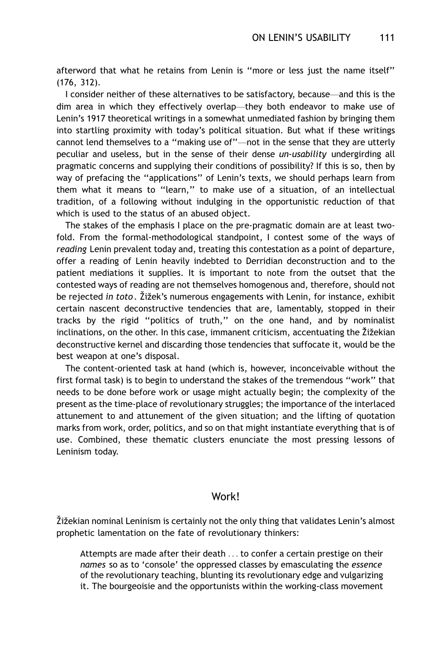afterword that what he retains from Lenin is ''more or less just the name itself'' (176, 312).

I consider neither of these alternatives to be satisfactory, because—and this is the dim area in which they effectively overlap—they both endeavor to make use of Lenin's 1917 theoretical writings in a somewhat unmediated fashion by bringing them into startling proximity with today's political situation. But what if these writings cannot lend themselves to a "making use of"—not in the sense that they are utterly peculiar and useless, but in the sense of their dense un-usability undergirding all pragmatic concerns and supplying their conditions of possibility? If this is so, then by way of prefacing the ''applications'' of Lenin's texts, we should perhaps learn from them what it means to ''learn,'' to make use of a situation, of an intellectual tradition, of a following without indulging in the opportunistic reduction of that which is used to the status of an abused object.

The stakes of the emphasis I place on the pre-pragmatic domain are at least twofold. From the formal-methodological standpoint, I contest some of the ways of reading Lenin prevalent today and, treating this contestation as a point of departure, offer a reading of Lenin heavily indebted to Derridian deconstruction and to the patient mediations it supplies. It is important to note from the outset that the contested ways of reading are not themselves homogenous and, therefore, should not be rejected in toto. Žižek's numerous engagements with Lenin, for instance, exhibit certain nascent deconstructive tendencies that are, lamentably, stopped in their tracks by the rigid ''politics of truth,'' on the one hand, and by nominalist inclinations, on the other. In this case, immanent criticism, accentuating the Zižekian deconstructive kernel and discarding those tendencies that suffocate it, would be the best weapon at one's disposal.

The content-oriented task at hand (which is, however, inconceivable without the first formal task) is to begin to understand the stakes of the tremendous ''work'' that needs to be done before work or usage might actually begin; the complexity of the present as the time-place of revolutionary struggles; the importance of the interlaced attunement to and attunement of the given situation; and the lifting of quotation marks from work, order, politics, and so on that might instantiate everything that is of use. Combined, these thematic clusters enunciate the most pressing lessons of Leninism today.

#### Work!

Žižekian nominal Leninism is certainly not the only thing that validates Lenin's almost prophetic lamentation on the fate of revolutionary thinkers:

Attempts are made after their death ... to confer a certain prestige on their names so as to 'console' the oppressed classes by emasculating the essence of the revolutionary teaching, blunting its revolutionary edge and vulgarizing it. The bourgeoisie and the opportunists within the working-class movement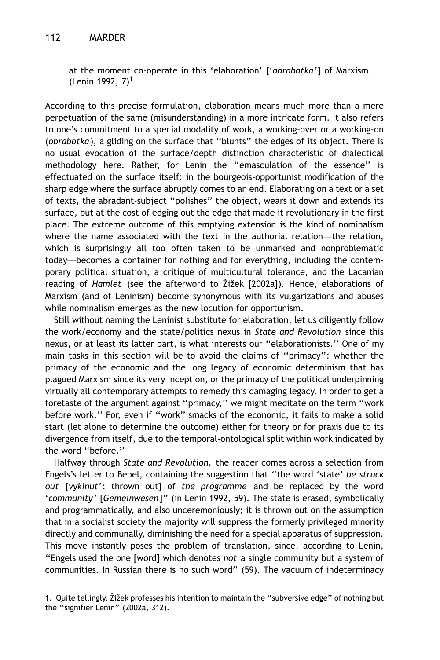at the moment co-operate in this 'elaboration' ['obrabotka'] of Marxism. (Lenin 1992,  $7)^1$ 

According to this precise formulation, elaboration means much more than a mere perpetuation of the same (misunderstanding) in a more intricate form. It also refers to one's commitment to a special modality of work, a working-over or a working-on (obrabotka), a gliding on the surface that ''blunts'' the edges of its object. There is no usual evocation of the surface/depth distinction characteristic of dialectical methodology here. Rather, for Lenin the ''emasculation of the essence'' is effectuated on the surface itself: in the bourgeois-opportunist modification of the sharp edge where the surface abruptly comes to an end. Elaborating on a text or a set of texts, the abradant-subject ''polishes'' the object, wears it down and extends its surface, but at the cost of edging out the edge that made it revolutionary in the first place. The extreme outcome of this emptying extension is the kind of nominalism where the name associated with the text in the authorial relation—the relation, which is surprisingly all too often taken to be unmarked and nonproblematic today—becomes a container for nothing and for everything, including the contemporary political situation, a critique of multicultural tolerance, and the Lacanian reading of Hamlet (see the afterword to  $\check{Z}$ ižek [2002a]). Hence, elaborations of Marxism (and of Leninism) become synonymous with its vulgarizations and abuses while nominalism emerges as the new locution for opportunism.

Still without naming the Leninist substitute for elaboration, let us diligently follow the work/economy and the state/politics nexus in State and Revolution since this nexus, or at least its latter part, is what interests our ''elaborationists.'' One of my main tasks in this section will be to avoid the claims of ''primacy'': whether the primacy of the economic and the long legacy of economic determinism that has plagued Marxism since its very inception, or the primacy of the political underpinning virtually all contemporary attempts to remedy this damaging legacy. In order to get a foretaste of the argument against ''primacy,'' we might meditate on the term ''work before work.'' For, even if ''work'' smacks of the economic, it fails to make a solid start (let alone to determine the outcome) either for theory or for praxis due to its divergence from itself, due to the temporal-ontological split within work indicated by the word ''before.''

Halfway through State and Revolution, the reader comes across a selection from Engels's letter to Bebel, containing the suggestion that ''the word 'state' be struck out [vykinut': thrown out] of the programme and be replaced by the word 'community' [Gemeinwesen]'' (in Lenin 1992, 59). The state is erased, symbolically and programmatically, and also unceremoniously; it is thrown out on the assumption that in a socialist society the majority will suppress the formerly privileged minority directly and communally, diminishing the need for a special apparatus of suppression. This move instantly poses the problem of translation, since, according to Lenin, ''Engels used the one [word] which denotes not a single community but a system of communities. In Russian there is no such word'' (59). The vacuum of indeterminacy

<sup>1.</sup> Quite tellingly, Žižek professes his intention to maintain the "subversive edge" of nothing but the ''signifier Lenin'' (2002a, 312).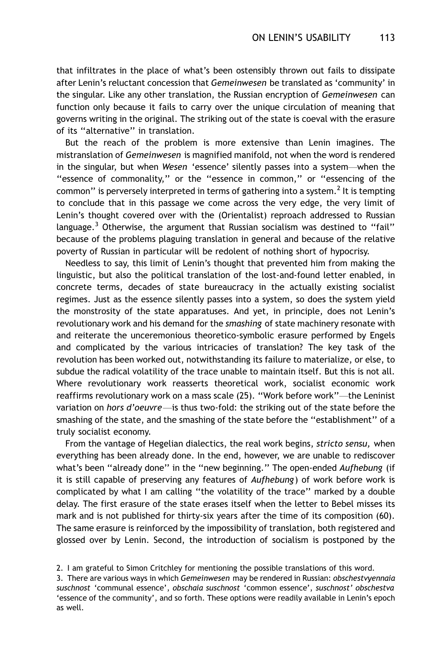that infiltrates in the place of what's been ostensibly thrown out fails to dissipate after Lenin's reluctant concession that Gemeinwesen be translated as 'community' in the singular. Like any other translation, the Russian encryption of Gemeinwesen can function only because it fails to carry over the unique circulation of meaning that governs writing in the original. The striking out of the state is coeval with the erasure of its ''alternative'' in translation.

But the reach of the problem is more extensive than Lenin imagines. The mistranslation of Gemeinwesen is magnified manifold, not when the word is rendered in the singular, but when Wesen 'essence' silently passes into a system—when the "essence of commonality," or the "essence in common," or "essencing of the common" is perversely interpreted in terms of gathering into a system.<sup>2</sup> It is tempting to conclude that in this passage we come across the very edge, the very limit of Lenin's thought covered over with the (Orientalist) reproach addressed to Russian language.<sup>3</sup> Otherwise, the argument that Russian socialism was destined to "fail" because of the problems plaguing translation in general and because of the relative poverty of Russian in particular will be redolent of nothing short of hypocrisy.

Needless to say, this limit of Lenin's thought that prevented him from making the linguistic, but also the political translation of the lost-and-found letter enabled, in concrete terms, decades of state bureaucracy in the actually existing socialist regimes. Just as the essence silently passes into a system, so does the system yield the monstrosity of the state apparatuses. And yet, in principle, does not Lenin's revolutionary work and his demand for the smashing of state machinery resonate with and reiterate the unceremonious theoretico-symbolic erasure performed by Engels and complicated by the various intricacies of translation? The key task of the revolution has been worked out, notwithstanding its failure to materialize, or else, to subdue the radical volatility of the trace unable to maintain itself. But this is not all. Where revolutionary work reasserts theoretical work, socialist economic work reaffirms revolutionary work on a mass scale (25). "Work before work"—the Leninist variation on hors d'oeuvre-is thus two-fold: the striking out of the state before the smashing of the state, and the smashing of the state before the ''establishment'' of a truly socialist economy.

From the vantage of Hegelian dialectics, the real work begins, stricto sensu, when everything has been already done. In the end, however, we are unable to rediscover what's been "already done" in the "new beginning." The open-ended Aufhebung (if it is still capable of preserving any features of Aufhebung) of work before work is complicated by what I am calling ''the volatility of the trace'' marked by a double delay. The first erasure of the state erases itself when the letter to Bebel misses its mark and is not published for thirty-six years after the time of its composition (60). The same erasure is reinforced by the impossibility of translation, both registered and glossed over by Lenin. Second, the introduction of socialism is postponed by the

<sup>2.</sup> I am grateful to Simon Critchley for mentioning the possible translations of this word.

<sup>3.</sup> There are various ways in which Gemeinwesen may be rendered in Russian: obschestvyennaia suschnost 'communal essence', obschaia suschnost 'common essence', suschnost' obschestva 'essence of the community', and so forth. These options were readily available in Lenin's epoch as well.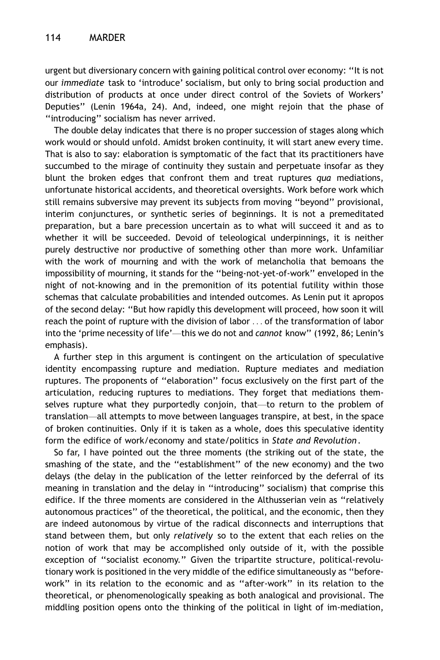urgent but diversionary concern with gaining political control over economy: ''It is not our immediate task to 'introduce' socialism, but only to bring social production and distribution of products at once under direct control of the Soviets of Workers' Deputies'' (Lenin 1964a, 24). And, indeed, one might rejoin that the phase of ''introducing'' socialism has never arrived.

The double delay indicates that there is no proper succession of stages along which work would or should unfold. Amidst broken continuity, it will start anew every time. That is also to say: elaboration is symptomatic of the fact that its practitioners have succumbed to the mirage of continuity they sustain and perpetuate insofar as they blunt the broken edges that confront them and treat ruptures qua mediations, unfortunate historical accidents, and theoretical oversights. Work before work which still remains subversive may prevent its subjects from moving ''beyond'' provisional, interim conjunctures, or synthetic series of beginnings. It is not a premeditated preparation, but a bare precession uncertain as to what will succeed it and as to whether it will be succeeded. Devoid of teleological underpinnings, it is neither purely destructive nor productive of something other than more work. Unfamiliar with the work of mourning and with the work of melancholia that bemoans the impossibility of mourning, it stands for the ''being-not-yet-of-work'' enveloped in the night of not-knowing and in the premonition of its potential futility within those schemas that calculate probabilities and intended outcomes. As Lenin put it apropos of the second delay: ''But how rapidly this development will proceed, how soon it will reach the point of rupture with the division of labor ... of the transformation of labor into the 'prime necessity of life'—this we do not and cannot know" (1992, 86; Lenin's emphasis).

A further step in this argument is contingent on the articulation of speculative identity encompassing rupture and mediation. Rupture mediates and mediation ruptures. The proponents of ''elaboration'' focus exclusively on the first part of the articulation, reducing ruptures to mediations. They forget that mediations themselves rupture what they purportedly conjoin, that—to return to the problem of translation—all attempts to move between languages transpire, at best, in the space of broken continuities. Only if it is taken as a whole, does this speculative identity form the edifice of work/economy and state/politics in State and Revolution.

So far, I have pointed out the three moments (the striking out of the state, the smashing of the state, and the "establishment" of the new economy) and the two delays (the delay in the publication of the letter reinforced by the deferral of its meaning in translation and the delay in ''introducing'' socialism) that comprise this edifice. If the three moments are considered in the Althusserian vein as ''relatively autonomous practices'' of the theoretical, the political, and the economic, then they are indeed autonomous by virtue of the radical disconnects and interruptions that stand between them, but only *relatively* so to the extent that each relies on the notion of work that may be accomplished only outside of it, with the possible exception of ''socialist economy.'' Given the tripartite structure, political-revolutionary work is positioned in the very middle of the edifice simultaneously as ''beforework'' in its relation to the economic and as ''after-work'' in its relation to the theoretical, or phenomenologically speaking as both analogical and provisional. The middling position opens onto the thinking of the political in light of im-mediation,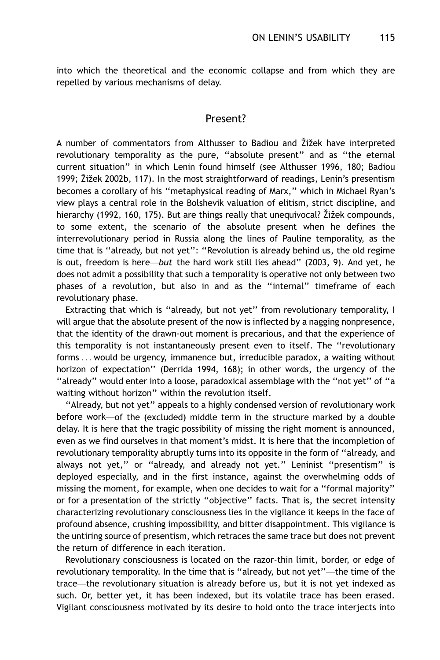into which the theoretical and the economic collapse and from which they are repelled by various mechanisms of delay.

#### Present?

A number of commentators from Althusser to Badiou and Žižek have interpreted revolutionary temporality as the pure, ''absolute present'' and as ''the eternal current situation'' in which Lenin found himself (see Althusser 1996, 180; Badiou 1999; Žižek 2002b, 117). In the most straightforward of readings, Lenin's presentism becomes a corollary of his ''metaphysical reading of Marx,'' which in Michael Ryan's view plays a central role in the Bolshevik valuation of elitism, strict discipline, and hierarchy (1992, 160, 175). But are things really that unequivocal? Žižek compounds, to some extent, the scenario of the absolute present when he defines the interrevolutionary period in Russia along the lines of Pauline temporality, as the time that is ''already, but not yet'': ''Revolution is already behind us, the old regime is out, freedom is here—but the hard work still lies ahead" (2003, 9). And yet, he does not admit a possibility that such a temporality is operative not only between two phases of a revolution, but also in and as the ''internal'' timeframe of each revolutionary phase.

Extracting that which is ''already, but not yet'' from revolutionary temporality, I will argue that the absolute present of the now is inflected by a nagging nonpresence, that the identity of the drawn-out moment is precarious, and that the experience of this temporality is not instantaneously present even to itself. The ''revolutionary forms ... would be urgency, immanence but, irreducible paradox, a waiting without horizon of expectation'' (Derrida 1994, 168); in other words, the urgency of the ''already'' would enter into a loose, paradoxical assemblage with the ''not yet'' of ''a waiting without horizon'' within the revolution itself.

''Already, but not yet'' appeals to a highly condensed version of revolutionary work before work-of the (excluded) middle term in the structure marked by a double delay. It is here that the tragic possibility of missing the right moment is announced, even as we find ourselves in that moment's midst. It is here that the incompletion of revolutionary temporality abruptly turns into its opposite in the form of ''already, and always not yet,'' or ''already, and already not yet.'' Leninist ''presentism'' is deployed especially, and in the first instance, against the overwhelming odds of missing the moment, for example, when one decides to wait for a ''formal majority'' or for a presentation of the strictly ''objective'' facts. That is, the secret intensity characterizing revolutionary consciousness lies in the vigilance it keeps in the face of profound absence, crushing impossibility, and bitter disappointment. This vigilance is the untiring source of presentism, which retraces the same trace but does not prevent the return of difference in each iteration.

Revolutionary consciousness is located on the razor-thin limit, border, or edge of revolutionary temporality. In the time that is "already, but not yet"-the time of the trace—the revolutionary situation is already before us, but it is not yet indexed as such. Or, better yet, it has been indexed, but its volatile trace has been erased. Vigilant consciousness motivated by its desire to hold onto the trace interjects into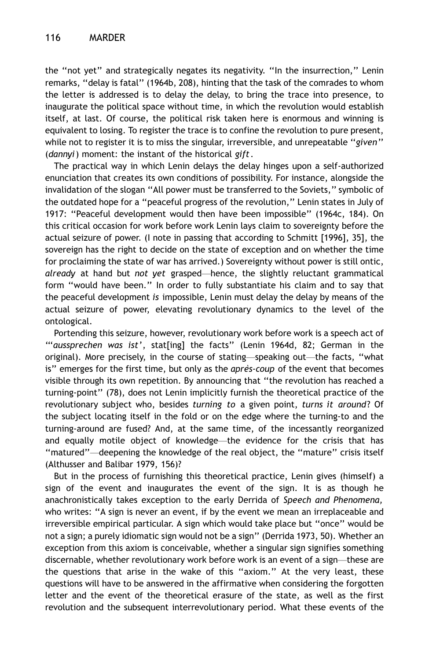the ''not yet'' and strategically negates its negativity. ''In the insurrection,'' Lenin remarks, ''delay is fatal'' (1964b, 208), hinting that the task of the comrades to whom the letter is addressed is to delay the delay, to bring the trace into presence, to inaugurate the political space without time, in which the revolution would establish itself, at last. Of course, the political risk taken here is enormous and winning is equivalent to losing. To register the trace is to confine the revolution to pure present, while not to register it is to miss the singular, irreversible, and unrepeatable "given" (dannyi) moment: the instant of the historical gift.

The practical way in which Lenin delays the delay hinges upon a self-authorized enunciation that creates its own conditions of possibility. For instance, alongside the invalidation of the slogan ''All power must be transferred to the Soviets,'' symbolic of the outdated hope for a ''peaceful progress of the revolution,'' Lenin states in July of 1917: ''Peaceful development would then have been impossible'' (1964c, 184). On this critical occasion for work before work Lenin lays claim to sovereignty before the actual seizure of power. (I note in passing that according to Schmitt [1996], 35], the sovereign has the right to decide on the state of exception and on whether the time for proclaiming the state of war has arrived.) Sovereignty without power is still ontic, already at hand but not yet grasped—hence, the slightly reluctant grammatical form ''would have been.'' In order to fully substantiate his claim and to say that the peaceful development is impossible, Lenin must delay the delay by means of the actual seizure of power, elevating revolutionary dynamics to the level of the ontological.

Portending this seizure, however, revolutionary work before work is a speech act of '''aussprechen was ist ', stat[ing] the facts'' (Lenin 1964d, 82; German in the original). More precisely, in the course of stating—speaking out—the facts, "what is" emerges for the first time, but only as the *après-coup* of the event that becomes visible through its own repetition. By announcing that ''the revolution has reached a turning-point'' (78), does not Lenin implicitly furnish the theoretical practice of the revolutionary subject who, besides turning to a given point, turns it around? Of the subject locating itself in the fold or on the edge where the turning-to and the turning-around are fused? And, at the same time, of the incessantly reorganized and equally motile object of knowledge—the evidence for the crisis that has ''matured''\*/deepening the knowledge of the real object, the ''mature'' crisis itself (Althusser and Balibar 1979, 156)?

But in the process of furnishing this theoretical practice, Lenin gives (himself) a sign of the event and inaugurates the event of the sign. It is as though he anachronistically takes exception to the early Derrida of Speech and Phenomena, who writes: ''A sign is never an event, if by the event we mean an irreplaceable and irreversible empirical particular. A sign which would take place but ''once'' would be not a sign; a purely idiomatic sign would not be a sign'' (Derrida 1973, 50). Whether an exception from this axiom is conceivable, whether a singular sign signifies something discernable, whether revolutionary work before work is an event of a sign—these are the questions that arise in the wake of this ''axiom.'' At the very least, these questions will have to be answered in the affirmative when considering the forgotten letter and the event of the theoretical erasure of the state, as well as the first revolution and the subsequent interrevolutionary period. What these events of the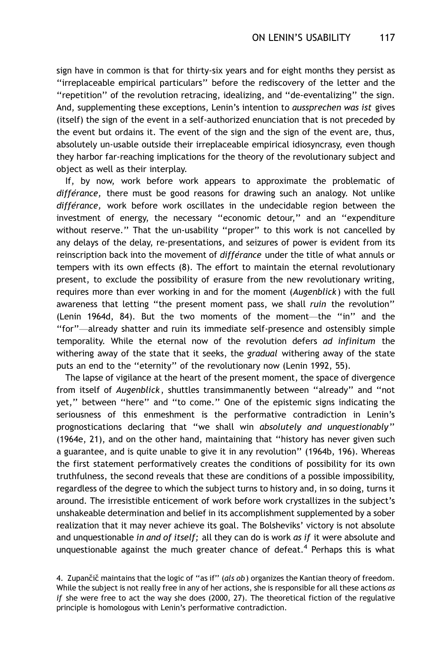sign have in common is that for thirty-six years and for eight months they persist as ''irreplaceable empirical particulars'' before the rediscovery of the letter and the ''repetition'' of the revolution retracing, idealizing, and ''de-eventalizing'' the sign. And, supplementing these exceptions, Lenin's intention to aussprechen was ist gives (itself) the sign of the event in a self-authorized enunciation that is not preceded by the event but ordains it. The event of the sign and the sign of the event are, thus, absolutely un-usable outside their irreplaceable empirical idiosyncrasy, even though they harbor far-reaching implications for the theory of the revolutionary subject and object as well as their interplay.

If, by now, work before work appears to approximate the problematic of differance, there must be good reasons for drawing such an analogy. Not unlike differance, work before work oscillates in the undecidable region between the investment of energy, the necessary ''economic detour,'' and an ''expenditure without reserve.'' That the un-usability ''proper'' to this work is not cancelled by any delays of the delay, re-presentations, and seizures of power is evident from its reinscription back into the movement of differance under the title of what annuls or tempers with its own effects (8). The effort to maintain the eternal revolutionary present, to exclude the possibility of erasure from the new revolutionary writing, requires more than ever working in and for the moment (Augenblick) with the full awareness that letting "the present moment pass, we shall ruin the revolution" (Lenin 1964d, 84). But the two moments of the moment—the "in" and the ''for''\*/already shatter and ruin its immediate self-presence and ostensibly simple temporality. While the eternal now of the revolution defers ad infinitum the withering away of the state that it seeks, the *gradual* withering away of the state puts an end to the ''eternity'' of the revolutionary now (Lenin 1992, 55).

The lapse of vigilance at the heart of the present moment, the space of divergence from itself of Augenblick, shuttles transimmanently between ''already'' and ''not yet,'' between ''here'' and ''to come.'' One of the epistemic signs indicating the seriousness of this enmeshment is the performative contradiction in Lenin's prognostications declaring that ''we shall win absolutely and unquestionably'' (1964e, 21), and on the other hand, maintaining that ''history has never given such a guarantee, and is quite unable to give it in any revolution'' (1964b, 196). Whereas the first statement performatively creates the conditions of possibility for its own truthfulness, the second reveals that these are conditions of a possible impossibility, regardless of the degree to which the subject turns to history and, in so doing, turns it around. The irresistible enticement of work before work crystallizes in the subject's unshakeable determination and belief in its accomplishment supplemented by a sober realization that it may never achieve its goal. The Bolsheviks' victory is not absolute and unquestionable in and of itself; all they can do is work as if it were absolute and unquestionable against the much greater chance of defeat.<sup>4</sup> Perhaps this is what

<sup>4.</sup> Zupančič maintains that the logic of "as if" (als  $ob$ ) organizes the Kantian theory of freedom. While the subject is not really free in any of her actions, she is responsible for all these actions as if she were free to act the way she does  $(2000, 27)$ . The theoretical fiction of the regulative principle is homologous with Lenin's performative contradiction.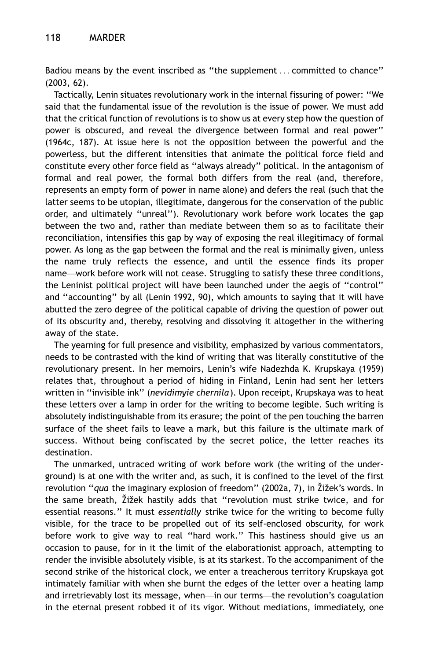Badiou means by the event inscribed as ''the supplement ... committed to chance'' (2003, 62).

Tactically, Lenin situates revolutionary work in the internal fissuring of power: ''We said that the fundamental issue of the revolution is the issue of power. We must add that the critical function of revolutions is to show us at every step how the question of power is obscured, and reveal the divergence between formal and real power'' (1964c, 187). At issue here is not the opposition between the powerful and the powerless, but the different intensities that animate the political force field and constitute every other force field as ''always already'' political. In the antagonism of formal and real power, the formal both differs from the real (and, therefore, represents an empty form of power in name alone) and defers the real (such that the latter seems to be utopian, illegitimate, dangerous for the conservation of the public order, and ultimately ''unreal''). Revolutionary work before work locates the gap between the two and, rather than mediate between them so as to facilitate their reconciliation, intensifies this gap by way of exposing the real illegitimacy of formal power. As long as the gap between the formal and the real is minimally given, unless the name truly reflects the essence, and until the essence finds its proper name—work before work will not cease. Struggling to satisfy these three conditions, the Leninist political project will have been launched under the aegis of ''control'' and ''accounting'' by all (Lenin 1992, 90), which amounts to saying that it will have abutted the zero degree of the political capable of driving the question of power out of its obscurity and, thereby, resolving and dissolving it altogether in the withering away of the state.

The yearning for full presence and visibility, emphasized by various commentators, needs to be contrasted with the kind of writing that was literally constitutive of the revolutionary present. In her memoirs, Lenin's wife Nadezhda K. Krupskaya (1959) relates that, throughout a period of hiding in Finland, Lenin had sent her letters written in "invisible ink" (nevidimyie chernila). Upon receipt, Krupskaya was to heat these letters over a lamp in order for the writing to become legible. Such writing is absolutely indistinguishable from its erasure; the point of the pen touching the barren surface of the sheet fails to leave a mark, but this failure is the ultimate mark of success. Without being confiscated by the secret police, the letter reaches its destination.

The unmarked, untraced writing of work before work (the writing of the underground) is at one with the writer and, as such, it is confined to the level of the first revolution "qua the imaginary explosion of freedom" (2002a, 7), in Žižek's words. In the same breath, Žižek hastily adds that "revolution must strike twice, and for essential reasons.'' It must essentially strike twice for the writing to become fully visible, for the trace to be propelled out of its self-enclosed obscurity, for work before work to give way to real ''hard work.'' This hastiness should give us an occasion to pause, for in it the limit of the elaborationist approach, attempting to render the invisible absolutely visible, is at its starkest. To the accompaniment of the second strike of the historical clock, we enter a treacherous territory Krupskaya got intimately familiar with when she burnt the edges of the letter over a heating lamp and irretrievably lost its message, when—in our terms—the revolution's coagulation in the eternal present robbed it of its vigor. Without mediations, immediately, one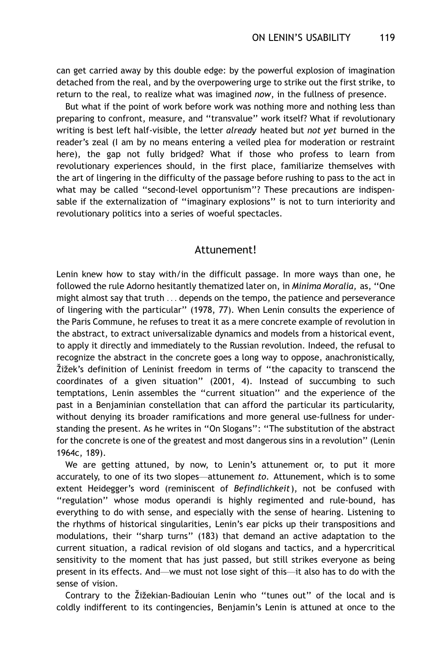can get carried away by this double edge: by the powerful explosion of imagination detached from the real, and by the overpowering urge to strike out the first strike, to return to the real, to realize what was imagined now, in the fullness of presence.

But what if the point of work before work was nothing more and nothing less than preparing to confront, measure, and ''transvalue'' work itself? What if revolutionary writing is best left half-visible, the letter already heated but not yet burned in the reader's zeal (I am by no means entering a veiled plea for moderation or restraint here), the gap not fully bridged? What if those who profess to learn from revolutionary experiences should, in the first place, familiarize themselves with the art of lingering in the difficulty of the passage before rushing to pass to the act in what may be called ''second-level opportunism''? These precautions are indispensable if the externalization of ''imaginary explosions'' is not to turn interiority and revolutionary politics into a series of woeful spectacles.

#### Attunement!

Lenin knew how to stay with/in the difficult passage. In more ways than one, he followed the rule Adorno hesitantly thematized later on, in Minima Moralia, as, ''One might almost say that truth ... depends on the tempo, the patience and perseverance of lingering with the particular'' (1978, 77). When Lenin consults the experience of the Paris Commune, he refuses to treat it as a mere concrete example of revolution in the abstract, to extract universalizable dynamics and models from a historical event, to apply it directly and immediately to the Russian revolution. Indeed, the refusal to recognize the abstract in the concrete goes a long way to oppose, anachronistically, Žižek's definition of Leninist freedom in terms of "the capacity to transcend the coordinates of a given situation'' (2001, 4). Instead of succumbing to such temptations, Lenin assembles the ''current situation'' and the experience of the past in a Benjaminian constellation that can afford the particular its particularity, without denying its broader ramifications and more general use-fullness for understanding the present. As he writes in ''On Slogans'': ''The substitution of the abstract for the concrete is one of the greatest and most dangerous sins in a revolution'' (Lenin 1964c, 189).

We are getting attuned, by now, to Lenin's attunement or, to put it more accurately, to one of its two slopes—attunement to. Attunement, which is to some extent Heidegger's word (reminiscent of Befindlichkeit), not be confused with ''regulation'' whose modus operandi is highly regimented and rule-bound, has everything to do with sense, and especially with the sense of hearing. Listening to the rhythms of historical singularities, Lenin's ear picks up their transpositions and modulations, their ''sharp turns'' (183) that demand an active adaptation to the current situation, a radical revision of old slogans and tactics, and a hypercritical sensitivity to the moment that has just passed, but still strikes everyone as being present in its effects. And—we must not lose sight of this—it also has to do with the sense of vision.

Contrary to the Zižekian-Badiouian Lenin who "tunes out" of the local and is coldly indifferent to its contingencies, Benjamin's Lenin is attuned at once to the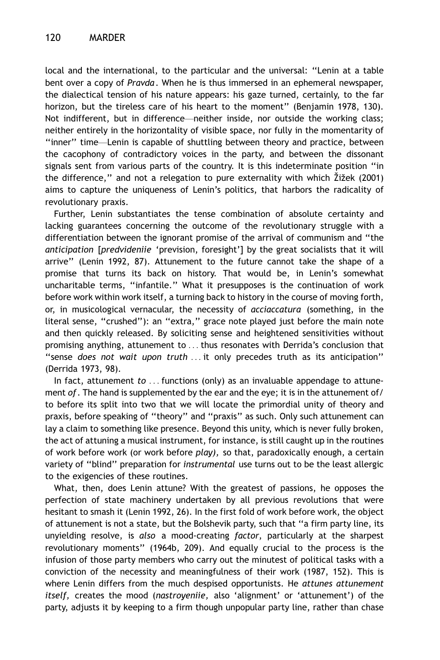local and the international, to the particular and the universal: ''Lenin at a table bent over a copy of Pravda. When he is thus immersed in an ephemeral newspaper, the dialectical tension of his nature appears: his gaze turned, certainly, to the far horizon, but the tireless care of his heart to the moment" (Benjamin 1978, 130). Not indifferent, but in difference—neither inside, nor outside the working class; neither entirely in the horizontality of visible space, nor fully in the momentarity of ''inner'' time\*/Lenin is capable of shuttling between theory and practice, between the cacophony of contradictory voices in the party, and between the dissonant signals sent from various parts of the country. It is this indeterminate position ''in the difference," and not a relegation to pure externality with which Zižek (2001) aims to capture the uniqueness of Lenin's politics, that harbors the radicality of revolutionary praxis.

Further, Lenin substantiates the tense combination of absolute certainty and lacking guarantees concerning the outcome of the revolutionary struggle with a differentiation between the ignorant promise of the arrival of communism and ''the anticipation [predvideniie 'prevision, foresight'] by the great socialists that it will arrive'' (Lenin 1992, 87). Attunement to the future cannot take the shape of a promise that turns its back on history. That would be, in Lenin's somewhat uncharitable terms, ''infantile.'' What it presupposes is the continuation of work before work within work itself, a turning back to history in the course of moving forth, or, in musicological vernacular, the necessity of acciaccatura (something, in the literal sense, ''crushed''): an ''extra,'' grace note played just before the main note and then quickly released. By soliciting sense and heightened sensitivities without promising anything, attunement to ... thus resonates with Derrida's conclusion that ''sense does not wait upon truth ... it only precedes truth as its anticipation'' (Derrida 1973, 98).

In fact, attunement to  $\ldots$  functions (only) as an invaluable appendage to attunement of. The hand is supplemented by the ear and the eye; it is in the attunement of  $/$ to before its split into two that we will locate the primordial unity of theory and praxis, before speaking of ''theory'' and ''praxis'' as such. Only such attunement can lay a claim to something like presence. Beyond this unity, which is never fully broken, the act of attuning a musical instrument, for instance, is still caught up in the routines of work before work (or work before play), so that, paradoxically enough, a certain variety of ''blind'' preparation for instrumental use turns out to be the least allergic to the exigencies of these routines.

What, then, does Lenin attune? With the greatest of passions, he opposes the perfection of state machinery undertaken by all previous revolutions that were hesitant to smash it (Lenin 1992, 26). In the first fold of work before work, the object of attunement is not a state, but the Bolshevik party, such that ''a firm party line, its unyielding resolve, is also a mood-creating factor, particularly at the sharpest revolutionary moments'' (1964b, 209). And equally crucial to the process is the infusion of those party members who carry out the minutest of political tasks with a conviction of the necessity and meaningfulness of their work (1987, 152). This is where Lenin differs from the much despised opportunists. He attunes attunement itself, creates the mood (nastroyeniie, also 'alignment' or 'attunement') of the party, adjusts it by keeping to a firm though unpopular party line, rather than chase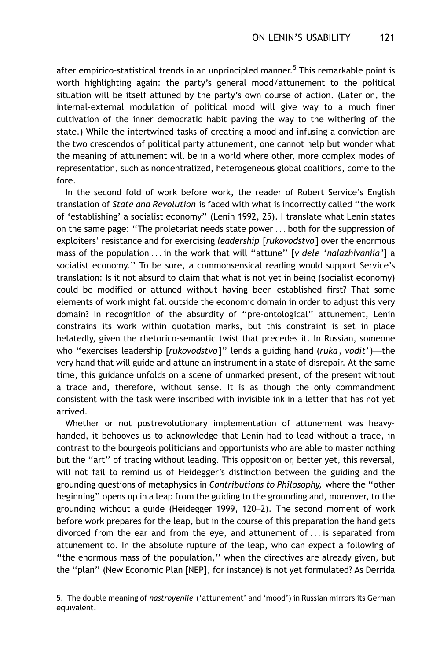after empirico-statistical trends in an unprincipled manner.<sup>5</sup> This remarkable point is worth highlighting again: the party's general mood/attunement to the political situation will be itself attuned by the party's own course of action. (Later on, the internal-external modulation of political mood will give way to a much finer cultivation of the inner democratic habit paving the way to the withering of the state.) While the intertwined tasks of creating a mood and infusing a conviction are the two crescendos of political party attunement, one cannot help but wonder what the meaning of attunement will be in a world where other, more complex modes of representation, such as noncentralized, heterogeneous global coalitions, come to the fore.

In the second fold of work before work, the reader of Robert Service's English translation of State and Revolution is faced with what is incorrectly called ''the work of 'establishing' a socialist economy'' (Lenin 1992, 25). I translate what Lenin states on the same page: ''The proletariat needs state power ... both for the suppression of exploiters' resistance and for exercising leadership [rukovodstvo] over the enormous mass of the population ... in the work that will "attune" [v dele 'nalazhivaniia'] a socialist economy.'' To be sure, a commonsensical reading would support Service's translation: Is it not absurd to claim that what is not yet in being (socialist economy) could be modified or attuned without having been established first? That some elements of work might fall outside the economic domain in order to adjust this very domain? In recognition of the absurdity of ''pre-ontological'' attunement, Lenin constrains its work within quotation marks, but this constraint is set in place belatedly, given the rhetorico-semantic twist that precedes it. In Russian, someone who "exercises leadership [rukovodstvo]" lends a guiding hand (ruka, vodit')—the very hand that will guide and attune an instrument in a state of disrepair. At the same time, this guidance unfolds on a scene of unmarked present, of the present without a trace and, therefore, without sense. It is as though the only commandment consistent with the task were inscribed with invisible ink in a letter that has not yet arrived.

Whether or not postrevolutionary implementation of attunement was heavyhanded, it behooves us to acknowledge that Lenin had to lead without a trace, in contrast to the bourgeois politicians and opportunists who are able to master nothing but the ''art'' of tracing without leading. This opposition or, better yet, this reversal, will not fail to remind us of Heidegger's distinction between the guiding and the grounding questions of metaphysics in Contributions to Philosophy, where the ''other beginning'' opens up in a leap from the guiding to the grounding and, moreover, to the grounding without a guide (Heidegger 1999, 120–2). The second moment of work before work prepares for the leap, but in the course of this preparation the hand gets divorced from the ear and from the eye, and attunement of ... is separated from attunement to. In the absolute rupture of the leap, who can expect a following of ''the enormous mass of the population,'' when the directives are already given, but the ''plan'' (New Economic Plan [NEP], for instance) is not yet formulated? As Derrida

<sup>5.</sup> The double meaning of *nastroyeniie* ('attunement' and 'mood') in Russian mirrors its German equivalent.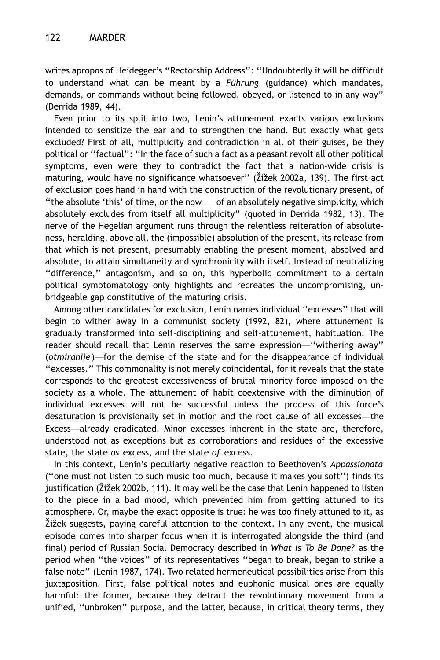writes apropos of Heidegger's ''Rectorship Address'': ''Undoubtedly it will be difficult to understand what can be meant by a  $F\ddot{\mu}$  (guidance) which mandates, demands, or commands without being followed, obeyed, or listened to in any way'' (Derrida 1989, 44).

Even prior to its split into two, Lenin's attunement exacts various exclusions intended to sensitize the ear and to strengthen the hand. But exactly what gets excluded? First of all, multiplicity and contradiction in all of their guises, be they political or ''factual'': ''In the face of such a fact as a peasant revolt all other political symptoms, even were they to contradict the fact that a nation-wide crisis is maturing, would have no significance whatsoever" (Žižek 2002a, 139). The first act of exclusion goes hand in hand with the construction of the revolutionary present, of ''the absolute 'this' of time, or the now ... of an absolutely negative simplicity, which absolutely excludes from itself all multiplicity'' (quoted in Derrida 1982, 13). The nerve of the Hegelian argument runs through the relentless reiteration of absoluteness, heralding, above all, the (impossible) absolution of the present, its release from that which is not present, presumably enabling the present moment, absolved and absolute, to attain simultaneity and synchronicity with itself. Instead of neutralizing ''difference,'' antagonism, and so on, this hyperbolic commitment to a certain political symptomatology only highlights and recreates the uncompromising, unbridgeable gap constitutive of the maturing crisis.

Among other candidates for exclusion, Lenin names individual ''excesses'' that will begin to wither away in a communist society (1992, 82), where attunement is gradually transformed into self-disciplining and self-attunement, habituation. The reader should recall that Lenin reserves the same expression-"withering away" (otmiraniie)—for the demise of the state and for the disappearance of individual ''excesses.'' This commonality is not merely coincidental, for it reveals that the state corresponds to the greatest excessiveness of brutal minority force imposed on the society as a whole. The attunement of habit coextensive with the diminution of individual excesses will not be successful unless the process of this force's desaturation is provisionally set in motion and the root cause of all excesses—the Excess—already eradicated. Minor excesses inherent in the state are, therefore, understood not as exceptions but as corroborations and residues of the excessive state, the state as excess, and the state of excess.

In this context, Lenin's peculiarly negative reaction to Beethoven's Appassionata (''one must not listen to such music too much, because it makes you soft'') finds its justification (Žižek 2002b, 111). It may well be the case that Lenin happened to listen to the piece in a bad mood, which prevented him from getting attuned to its atmosphere. Or, maybe the exact opposite is true: he was too finely attuned to it, as Žižek suggests, paying careful attention to the context. In any event, the musical episode comes into sharper focus when it is interrogated alongside the third (and final) period of Russian Social Democracy described in What Is To Be Done? as the period when ''the voices'' of its representatives ''began to break, began to strike a false note'' (Lenin 1987, 174). Two related hermeneutical possibilities arise from this juxtaposition. First, false political notes and euphonic musical ones are equally harmful: the former, because they detract the revolutionary movement from a unified, ''unbroken'' purpose, and the latter, because, in critical theory terms, they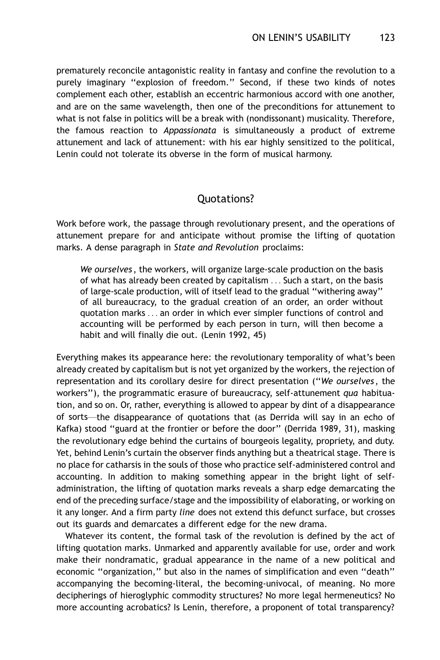prematurely reconcile antagonistic reality in fantasy and confine the revolution to a purely imaginary ''explosion of freedom.'' Second, if these two kinds of notes complement each other, establish an eccentric harmonious accord with one another, and are on the same wavelength, then one of the preconditions for attunement to what is not false in politics will be a break with (nondissonant) musicality. Therefore, the famous reaction to Appassionata is simultaneously a product of extreme attunement and lack of attunement: with his ear highly sensitized to the political, Lenin could not tolerate its obverse in the form of musical harmony.

## Quotations?

Work before work, the passage through revolutionary present, and the operations of attunement prepare for and anticipate without promise the lifting of quotation marks. A dense paragraph in State and Revolution proclaims:

We ourselves, the workers, will organize large-scale production on the basis of what has already been created by capitalism ... Such a start, on the basis of large-scale production, will of itself lead to the gradual ''withering away'' of all bureaucracy, to the gradual creation of an order, an order without quotation marks ... an order in which ever simpler functions of control and accounting will be performed by each person in turn, will then become a habit and will finally die out. (Lenin 1992, 45)

Everything makes its appearance here: the revolutionary temporality of what's been already created by capitalism but is not yet organized by the workers, the rejection of representation and its corollary desire for direct presentation (''We ourselves , the workers''), the programmatic erasure of bureaucracy, self-attunement qua habituation, and so on. Or, rather, everything is allowed to appear by dint of a disappearance of sorts—the disappearance of quotations that (as Derrida will say in an echo of Kafka) stood ''guard at the frontier or before the door'' (Derrida 1989, 31), masking the revolutionary edge behind the curtains of bourgeois legality, propriety, and duty. Yet, behind Lenin's curtain the observer finds anything but a theatrical stage. There is no place for catharsis in the souls of those who practice self-administered control and accounting. In addition to making something appear in the bright light of selfadministration, the lifting of quotation marks reveals a sharp edge demarcating the end of the preceding surface/stage and the impossibility of elaborating, or working on it any longer. And a firm party *line* does not extend this defunct surface, but crosses out its guards and demarcates a different edge for the new drama.

Whatever its content, the formal task of the revolution is defined by the act of lifting quotation marks. Unmarked and apparently available for use, order and work make their nondramatic, gradual appearance in the name of a new political and economic ''organization,'' but also in the names of simplification and even ''death'' accompanying the becoming-literal, the becoming-univocal, of meaning. No more decipherings of hieroglyphic commodity structures? No more legal hermeneutics? No more accounting acrobatics? Is Lenin, therefore, a proponent of total transparency?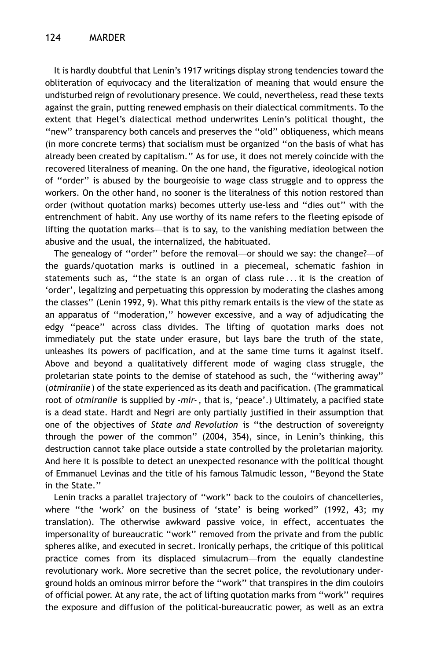It is hardly doubtful that Lenin's 1917 writings display strong tendencies toward the obliteration of equivocacy and the literalization of meaning that would ensure the undisturbed reign of revolutionary presence. We could, nevertheless, read these texts against the grain, putting renewed emphasis on their dialectical commitments. To the extent that Hegel's dialectical method underwrites Lenin's political thought, the ''new'' transparency both cancels and preserves the ''old'' obliqueness, which means (in more concrete terms) that socialism must be organized ''on the basis of what has already been created by capitalism.'' As for use, it does not merely coincide with the recovered literalness of meaning. On the one hand, the figurative, ideological notion of ''order'' is abused by the bourgeoisie to wage class struggle and to oppress the workers. On the other hand, no sooner is the literalness of this notion restored than order (without quotation marks) becomes utterly use-less and ''dies out'' with the entrenchment of habit. Any use worthy of its name refers to the fleeting episode of lifting the quotation marks—that is to say, to the vanishing mediation between the abusive and the usual, the internalized, the habituated.

The genealogy of "order" before the removal—or should we say: the change?—of the guards/quotation marks is outlined in a piecemeal, schematic fashion in statements such as, ''the state is an organ of class rule ... it is the creation of 'order', legalizing and perpetuating this oppression by moderating the clashes among the classes'' (Lenin 1992, 9). What this pithy remark entails is the view of the state as an apparatus of ''moderation,'' however excessive, and a way of adjudicating the edgy ''peace'' across class divides. The lifting of quotation marks does not immediately put the state under erasure, but lays bare the truth of the state, unleashes its powers of pacification, and at the same time turns it against itself. Above and beyond a qualitatively different mode of waging class struggle, the proletarian state points to the demise of statehood as such, the ''withering away'' (otmiraniie) of the state experienced as its death and pacification. (The grammatical root of *otmiraniie* is supplied by -mir-, that is, 'peace'.) Ultimately, a pacified state is a dead state. Hardt and Negri are only partially justified in their assumption that one of the objectives of State and Revolution is ''the destruction of sovereignty through the power of the common'' (2004, 354), since, in Lenin's thinking, this destruction cannot take place outside a state controlled by the proletarian majority. And here it is possible to detect an unexpected resonance with the political thought of Emmanuel Levinas and the title of his famous Talmudic lesson, ''Beyond the State in the State.''

Lenin tracks a parallel trajectory of ''work'' back to the couloirs of chancelleries, where "the 'work' on the business of 'state' is being worked" (1992, 43; my translation). The otherwise awkward passive voice, in effect, accentuates the impersonality of bureaucratic ''work'' removed from the private and from the public spheres alike, and executed in secret. Ironically perhaps, the critique of this political practice comes from its displaced simulacrum—from the equally clandestine revolutionary work. More secretive than the secret police, the revolutionary underground holds an ominous mirror before the ''work'' that transpires in the dim couloirs of official power. At any rate, the act of lifting quotation marks from ''work'' requires the exposure and diffusion of the political-bureaucratic power, as well as an extra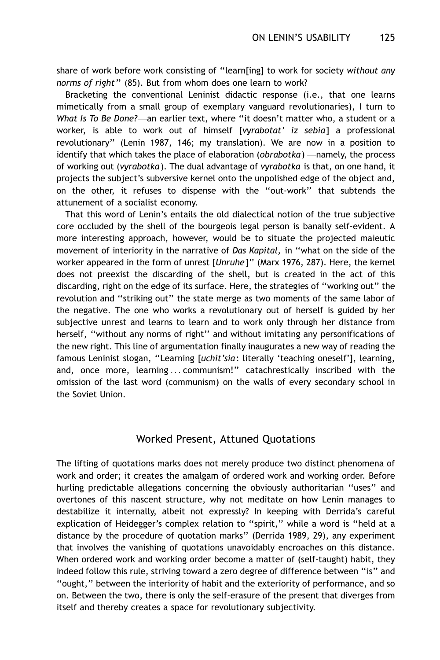share of work before work consisting of "learn[ing] to work for society without any norms of right" (85). But from whom does one learn to work?

Bracketing the conventional Leninist didactic response (i.e., that one learns mimetically from a small group of exemplary vanguard revolutionaries), I turn to What Is To Be Done?-an earlier text, where "it doesn't matter who, a student or a worker, is able to work out of himself [vyrabotat' iz sebia] a professional revolutionary'' (Lenin 1987, 146; my translation). We are now in a position to identify that which takes the place of elaboration ( $obrabotka$ )  $-$ namely, the process of working out (vyrabotka). The dual advantage of vyrabotka is that, on one hand, it projects the subject's subversive kernel onto the unpolished edge of the object and, on the other, it refuses to dispense with the ''out-work'' that subtends the attunement of a socialist economy.

That this word of Lenin's entails the old dialectical notion of the true subjective core occluded by the shell of the bourgeois legal person is banally self-evident. A more interesting approach, however, would be to situate the projected maieutic movement of interiority in the narrative of Das Kapital, in "what on the side of the worker appeared in the form of unrest [Unruhe]'' (Marx 1976, 287). Here, the kernel does not preexist the discarding of the shell, but is created in the act of this discarding, right on the edge of its surface. Here, the strategies of ''working out'' the revolution and ''striking out'' the state merge as two moments of the same labor of the negative. The one who works a revolutionary out of herself is guided by her subjective unrest and learns to learn and to work only through her distance from herself, ''without any norms of right'' and without imitating any personifications of the new right. This line of argumentation finally inaugurates a new way of reading the famous Leninist slogan, "Learning [uchit'sia: literally 'teaching oneself'], learning, and, once more, learning ... communism!'' catachrestically inscribed with the omission of the last word (communism) on the walls of every secondary school in the Soviet Union.

#### Worked Present, Attuned Quotations

The lifting of quotations marks does not merely produce two distinct phenomena of work and order; it creates the amalgam of ordered work and working order. Before hurling predictable allegations concerning the obviously authoritarian ''uses'' and overtones of this nascent structure, why not meditate on how Lenin manages to destabilize it internally, albeit not expressly? In keeping with Derrida's careful explication of Heidegger's complex relation to ''spirit,'' while a word is ''held at a distance by the procedure of quotation marks'' (Derrida 1989, 29), any experiment that involves the vanishing of quotations unavoidably encroaches on this distance. When ordered work and working order become a matter of (self-taught) habit, they indeed follow this rule, striving toward a zero degree of difference between ''is'' and ''ought,'' between the interiority of habit and the exteriority of performance, and so on. Between the two, there is only the self-erasure of the present that diverges from itself and thereby creates a space for revolutionary subjectivity.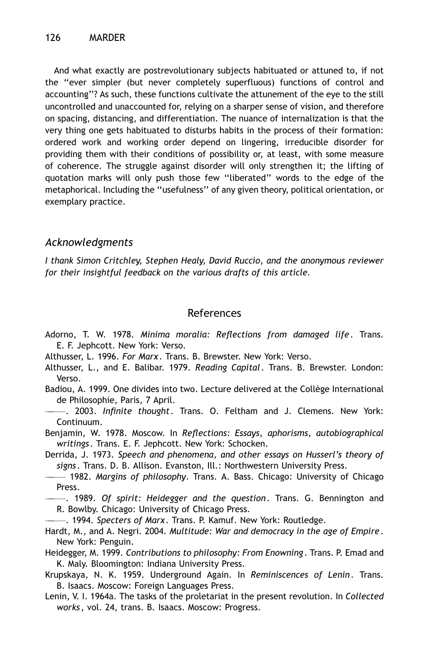And what exactly are postrevolutionary subjects habituated or attuned to, if not the ''ever simpler (but never completely superfluous) functions of control and accounting''? As such, these functions cultivate the attunement of the eye to the still uncontrolled and unaccounted for, relying on a sharper sense of vision, and therefore on spacing, distancing, and differentiation. The nuance of internalization is that the very thing one gets habituated to disturbs habits in the process of their formation: ordered work and working order depend on lingering, irreducible disorder for providing them with their conditions of possibility or, at least, with some measure of coherence. The struggle against disorder will only strengthen it; the lifting of quotation marks will only push those few ''liberated'' words to the edge of the metaphorical. Including the ''usefulness'' of any given theory, political orientation, or exemplary practice.

### Acknowledgments

I thank Simon Critchley, Stephen Healy, David Ruccio, and the anonymous reviewer for their insightful feedback on the various drafts of this article.

#### References

- Adorno, T. W. 1978. Minima moralia: Reflections from damaged life. Trans. E. F. Jephcott. New York: Verso.
- Althusser, L. 1996. For Marx. Trans. B. Brewster. New York: Verso.
- Althusser, L., and E. Balibar. 1979. Reading Capital. Trans. B. Brewster. London: Verso.

Badiou, A. 1999. One divides into two. Lecture delivered at the Collège International de Philosophie, Paris, 7 April.

- -- 2003. Infinite thought. Trans. O. Feltham and J. Clemens. New York: Continuum.
- Benjamin, W. 1978. Moscow. In Reflections: Essays, aphorisms, autobiographical writings . Trans. E. F. Jephcott. New York: Schocken.
- Derrida, J. 1973. Speech and phenomena, and other essays on Husserl's theory of signs . Trans. D. B. Allison. Evanston, Ill.: Northwestern University Press.
- $-$  1982. *Margins of philosophy*. Trans. A. Bass. Chicago: University of Chicago Press.
- ---. 1989. Of spirit: Heidegger and the question. Trans. G. Bennington and R. Bowlby. Chicago: University of Chicago Press.
	- 1994. Specters of Marx. Trans. P. Kamuf. New York: Routledge.
- Hardt, M., and A. Negri. 2004. Multitude: War and democracy in the age of Empire. New York: Penguin.
- Heidegger, M. 1999. Contributions to philosophy: From Enowning. Trans. P. Emad and K. Maly. Bloomington: Indiana University Press.
- Krupskaya, N. K. 1959. Underground Again. In Reminiscences of Lenin. Trans. B. Isaacs. Moscow: Foreign Languages Press.
- Lenin, V. I. 1964a. The tasks of the proletariat in the present revolution. In Collected works , vol. 24, trans. B. Isaacs. Moscow: Progress.